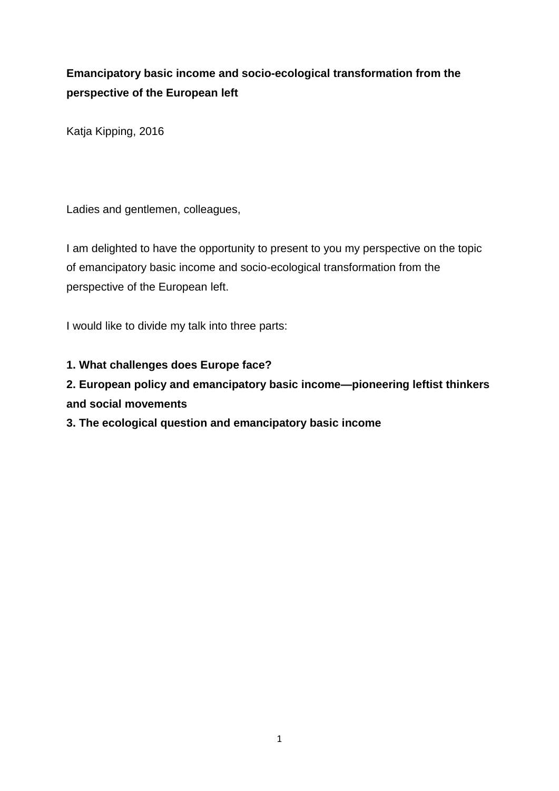# **Emancipatory basic income and socio-ecological transformation from the perspective of the European left**

Katja Kipping, 2016

Ladies and gentlemen, colleagues,

I am delighted to have the opportunity to present to you my perspective on the topic of emancipatory basic income and socio-ecological transformation from the perspective of the European left.

I would like to divide my talk into three parts:

**1. What challenges does Europe face?**

## **2. European policy and emancipatory basic income—pioneering leftist thinkers and social movements**

### **3. The ecological question and emancipatory basic income**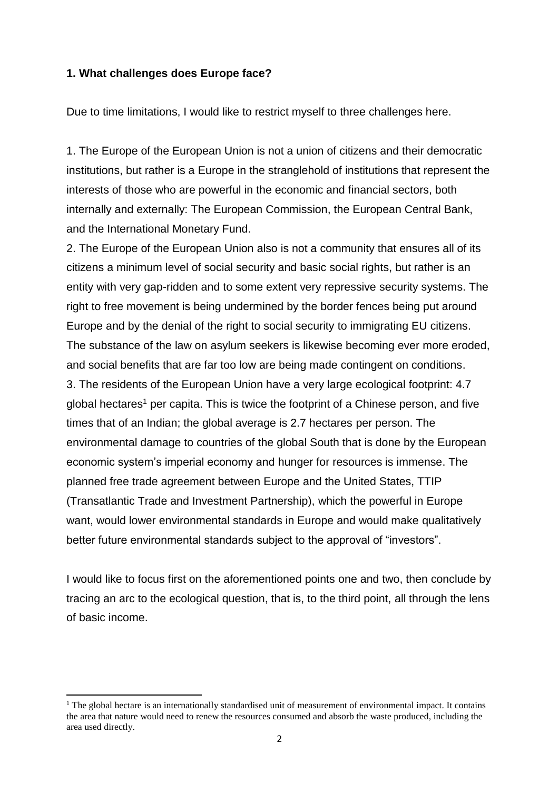#### **1. What challenges does Europe face?**

Due to time limitations, I would like to restrict myself to three challenges here.

1. The Europe of the European Union is not a union of citizens and their democratic institutions, but rather is a Europe in the stranglehold of institutions that represent the interests of those who are powerful in the economic and financial sectors, both internally and externally: The European Commission, the European Central Bank, and the International Monetary Fund.

2. The Europe of the European Union also is not a community that ensures all of its citizens a minimum level of social security and basic social rights, but rather is an entity with very gap-ridden and to some extent very repressive security systems. The right to free movement is being undermined by the border fences being put around Europe and by the denial of the right to social security to immigrating EU citizens. The substance of the law on asylum seekers is likewise becoming ever more eroded, and social benefits that are far too low are being made contingent on conditions. 3. The residents of the European Union have a very large ecological footprint: 4.7 global hectares<sup>1</sup> per capita. This is twice the footprint of a Chinese person, and five times that of an Indian; the global average is 2.7 hectares per person. The environmental damage to countries of the global South that is done by the European economic system's imperial economy and hunger for resources is immense. The planned free trade agreement between Europe and the United States, TTIP (Transatlantic Trade and Investment Partnership), which the powerful in Europe want, would lower environmental standards in Europe and would make qualitatively better future environmental standards subject to the approval of "investors".

I would like to focus first on the aforementioned points one and two, then conclude by tracing an arc to the ecological question, that is, to the third point, all through the lens of basic income.

 $\overline{a}$ 

 $1$  The global hectare is an internationally standardised unit of measurement of environmental impact. It contains the area that nature would need to renew the resources consumed and absorb the waste produced, including the area used directly.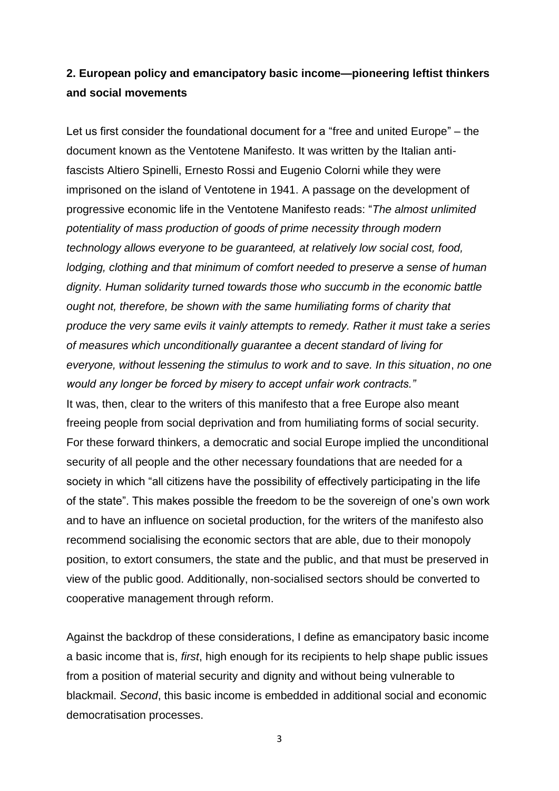## **2. European policy and emancipatory basic income—pioneering leftist thinkers and social movements**

Let us first consider the foundational document for a "free and united Europe" – the document known as the Ventotene Manifesto. It was written by the Italian antifascists Altiero Spinelli, Ernesto Rossi and Eugenio Colorni while they were imprisoned on the island of Ventotene in 1941. A passage on the development of progressive economic life in the Ventotene Manifesto reads: "*The almost unlimited potentiality of mass production of goods of prime necessity through modern technology allows everyone to be guaranteed, at relatively low social cost, food, lodging, clothing and that minimum of comfort needed to preserve a sense of human dignity. Human solidarity turned towards those who succumb in the economic battle ought not, therefore, be shown with the same humiliating forms of charity that produce the very same evils it vainly attempts to remedy. Rather it must take a series of measures which unconditionally guarantee a decent standard of living for everyone, without lessening the stimulus to work and to save. In this situation*, *no one would any longer be forced by misery to accept unfair work contracts."*  It was, then, clear to the writers of this manifesto that a free Europe also meant freeing people from social deprivation and from humiliating forms of social security. For these forward thinkers, a democratic and social Europe implied the unconditional security of all people and the other necessary foundations that are needed for a society in which "all citizens have the possibility of effectively participating in the life of the state". This makes possible the freedom to be the sovereign of one's own work and to have an influence on societal production, for the writers of the manifesto also recommend socialising the economic sectors that are able, due to their monopoly position, to extort consumers, the state and the public, and that must be preserved in view of the public good. Additionally, non-socialised sectors should be converted to cooperative management through reform.

Against the backdrop of these considerations, I define as emancipatory basic income a basic income that is, *first*, high enough for its recipients to help shape public issues from a position of material security and dignity and without being vulnerable to blackmail. *Second*, this basic income is embedded in additional social and economic democratisation processes.

3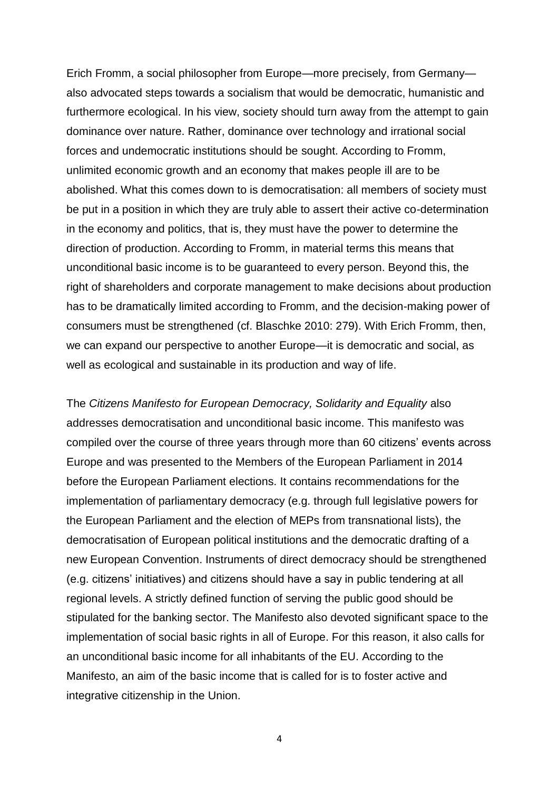Erich Fromm, a social philosopher from Europe—more precisely, from Germany also advocated steps towards a socialism that would be democratic, humanistic and furthermore ecological. In his view, society should turn away from the attempt to gain dominance over nature. Rather, dominance over technology and irrational social forces and undemocratic institutions should be sought. According to Fromm, unlimited economic growth and an economy that makes people ill are to be abolished. What this comes down to is democratisation: all members of society must be put in a position in which they are truly able to assert their active co-determination in the economy and politics, that is, they must have the power to determine the direction of production. According to Fromm, in material terms this means that unconditional basic income is to be guaranteed to every person. Beyond this, the right of shareholders and corporate management to make decisions about production has to be dramatically limited according to Fromm, and the decision-making power of consumers must be strengthened (cf. Blaschke 2010: 279). With Erich Fromm, then, we can expand our perspective to another Europe—it is democratic and social, as well as ecological and sustainable in its production and way of life.

The *Citizens Manifesto for European Democracy, Solidarity and Equality* also addresses democratisation and unconditional basic income. This manifesto was compiled over the course of three years through more than 60 citizens' events across Europe and was presented to the Members of the European Parliament in 2014 before the European Parliament elections. It contains recommendations for the implementation of parliamentary democracy (e.g. through full legislative powers for the European Parliament and the election of MEPs from transnational lists), the democratisation of European political institutions and the democratic drafting of a new European Convention. Instruments of direct democracy should be strengthened (e.g. citizens' initiatives) and citizens should have a say in public tendering at all regional levels. A strictly defined function of serving the public good should be stipulated for the banking sector. The Manifesto also devoted significant space to the implementation of social basic rights in all of Europe. For this reason, it also calls for an unconditional basic income for all inhabitants of the EU. According to the Manifesto, an aim of the basic income that is called for is to foster active and integrative citizenship in the Union.

4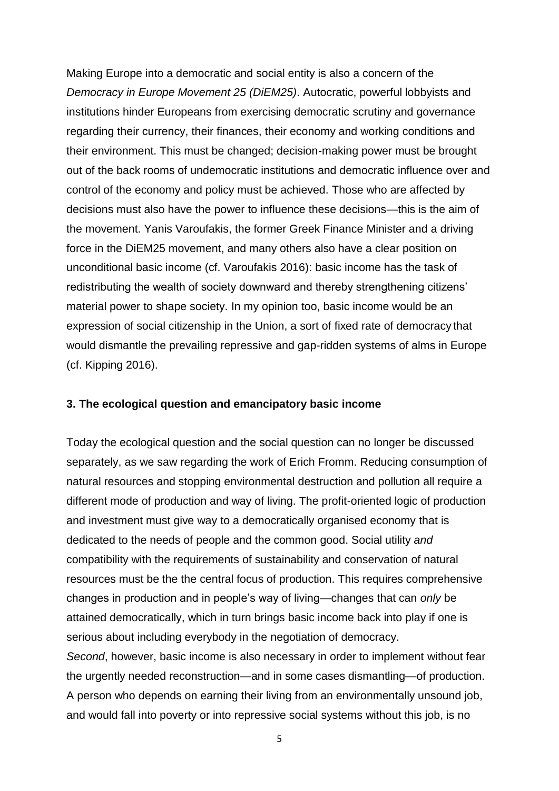Making Europe into a democratic and social entity is also a concern of the *Democracy in Europe Movement 25 (DiEM25)*. Autocratic, powerful lobbyists and institutions hinder Europeans from exercising democratic scrutiny and governance regarding their currency, their finances, their economy and working conditions and their environment. This must be changed; decision-making power must be brought out of the back rooms of undemocratic institutions and democratic influence over and control of the economy and policy must be achieved. Those who are affected by decisions must also have the power to influence these decisions—this is the aim of the movement. Yanis Varoufakis, the former Greek Finance Minister and a driving force in the DiEM25 movement, and many others also have a clear position on unconditional basic income (cf. Varoufakis 2016): basic income has the task of redistributing the wealth of society downward and thereby strengthening citizens' material power to shape society. In my opinion too, basic income would be an expression of social citizenship in the Union, a sort of fixed rate of democracy that would dismantle the prevailing repressive and gap-ridden systems of alms in Europe (cf. Kipping 2016).

#### **3. The ecological question and emancipatory basic income**

Today the ecological question and the social question can no longer be discussed separately, as we saw regarding the work of Erich Fromm. Reducing consumption of natural resources and stopping environmental destruction and pollution all require a different mode of production and way of living. The profit-oriented logic of production and investment must give way to a democratically organised economy that is dedicated to the needs of people and the common good. Social utility *and* compatibility with the requirements of sustainability and conservation of natural resources must be the the central focus of production. This requires comprehensive changes in production and in people's way of living—changes that can *only* be attained democratically, which in turn brings basic income back into play if one is serious about including everybody in the negotiation of democracy.

*Second*, however, basic income is also necessary in order to implement without fear the urgently needed reconstruction—and in some cases dismantling—of production. A person who depends on earning their living from an environmentally unsound job, and would fall into poverty or into repressive social systems without this job, is no

5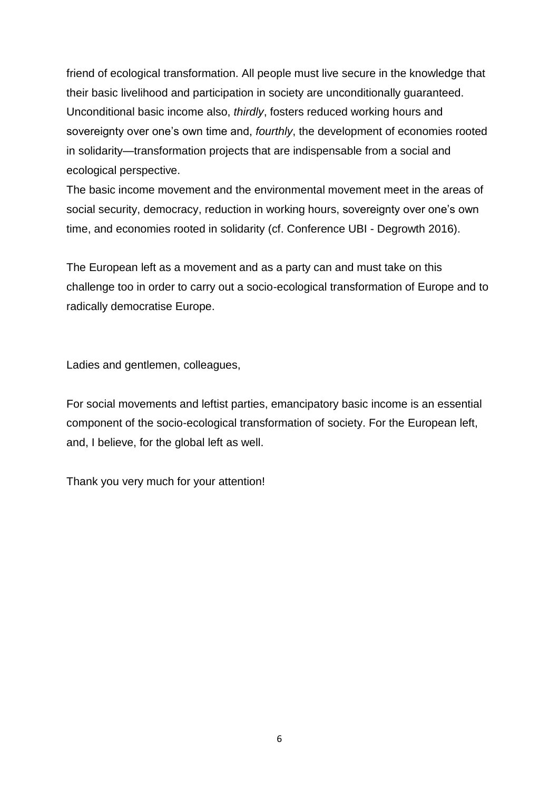friend of ecological transformation. All people must live secure in the knowledge that their basic livelihood and participation in society are unconditionally guaranteed. Unconditional basic income also, *thirdly*, fosters reduced working hours and sovereignty over one's own time and, *fourthly*, the development of economies rooted in solidarity—transformation projects that are indispensable from a social and ecological perspective.

The basic income movement and the environmental movement meet in the areas of social security, democracy, reduction in working hours, sovereignty over one's own time, and economies rooted in solidarity (cf. Conference UBI - Degrowth 2016).

The European left as a movement and as a party can and must take on this challenge too in order to carry out a socio-ecological transformation of Europe and to radically democratise Europe.

Ladies and gentlemen, colleagues,

For social movements and leftist parties, emancipatory basic income is an essential component of the socio-ecological transformation of society. For the European left, and, I believe, for the global left as well.

Thank you very much for your attention!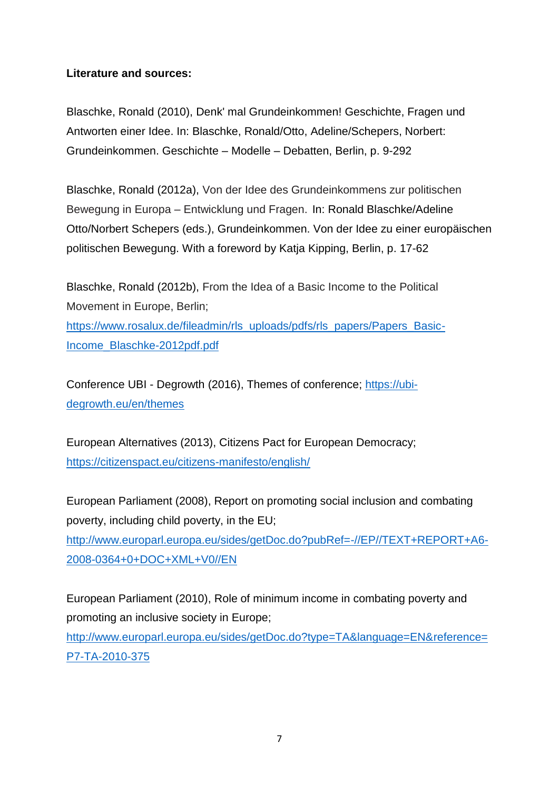### **Literature and sources:**

Blaschke, Ronald (2010), Denk' mal Grundeinkommen! Geschichte, Fragen und Antworten einer Idee. In: Blaschke, Ronald/Otto, Adeline/Schepers, Norbert: Grundeinkommen. Geschichte – Modelle – Debatten, Berlin, p. 9-292

Blaschke, Ronald (2012a), Von der Idee des Grundeinkommens zur politischen Bewegung in Europa – Entwicklung und Fragen. In: Ronald Blaschke/Adeline Otto/Norbert Schepers (eds.), Grundeinkommen. Von der Idee zu einer europäischen politischen Bewegung. With a foreword by Katja Kipping, Berlin, p. 17-62

Blaschke, Ronald (2012b), From the Idea of a Basic Income to the Political Movement in Europe, Berlin;

[https://www.rosalux.de/fileadmin/rls\\_uploads/pdfs/rls\\_papers/Papers\\_Basic-](https://www.rosalux.de/fileadmin/rls_uploads/pdfs/rls_papers/Papers_Basic-Income_Blaschke-2012pdf.pdf)[Income\\_Blaschke-2012pdf.pdf](https://www.rosalux.de/fileadmin/rls_uploads/pdfs/rls_papers/Papers_Basic-Income_Blaschke-2012pdf.pdf)

Conference UBI - Degrowth (2016), Themes of conference; [https://ubi](https://ubi-degrowth.eu/en/themes)[degrowth.eu/en/themes](https://ubi-degrowth.eu/en/themes)

European Alternatives (2013), Citizens Pact for European Democracy; <https://citizenspact.eu/citizens-manifesto/english/>

European Parliament (2008), Report on promoting social inclusion and combating poverty, including child poverty, in the EU; [http://www.europarl.europa.eu/sides/getDoc.do?pubRef=-//EP//TEXT+REPORT+A6-](http://www.europarl.europa.eu/sides/getDoc.do?pubRef=-//EP//TEXT+REPORT+A6-2008-0364+0+DOC+XML+V0//EN) [2008-0364+0+DOC+XML+V0//EN](http://www.europarl.europa.eu/sides/getDoc.do?pubRef=-//EP//TEXT+REPORT+A6-2008-0364+0+DOC+XML+V0//EN)

European Parliament (2010), Role of minimum income in combating poverty and promoting an inclusive society in Europe;

[http://www.europarl.europa.eu/sides/getDoc.do?type=TA&language=EN&reference=](http://www.europarl.europa.eu/sides/getDoc.do?type=TA&language=EN&reference=P7-TA-2010-375) [P7-TA-2010-375](http://www.europarl.europa.eu/sides/getDoc.do?type=TA&language=EN&reference=P7-TA-2010-375)